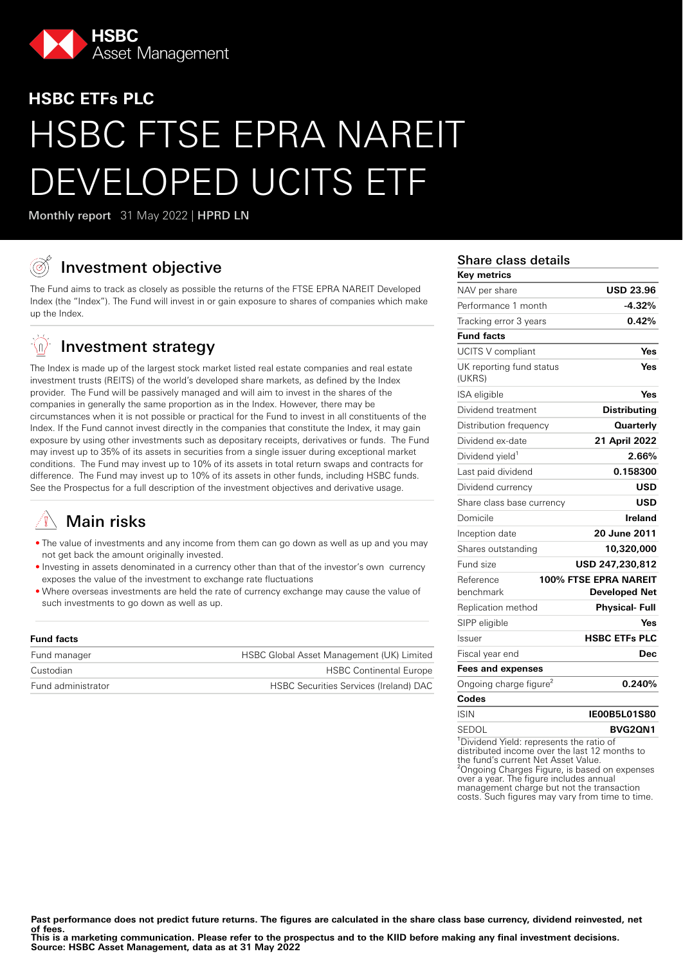

# **HSBC ETFs PLC** HSBC FTSE EPRA NAREIT EVELOPED UCITS ETF

Monthly report 31 May 2022 | HPRD LN

## Investment objective

The Fund aims to track as closely as possible the returns of the FTSE EPRA NAREIT Developed Index (the "Index"). The Fund will invest in or gain exposure to shares of companies which make up the Index.

#### $\mathbb{Q}$ Investment strategy

The Index is made up of the largest stock market listed real estate companies and real estate investment trusts (REITS) of the world's developed share markets, as defined by the Index provider. The Fund will be passively managed and will aim to invest in the shares of the companies in generally the same proportion as in the Index. However, there may be circumstances when it is not possible or practical for the Fund to invest in all constituents of the Index. If the Fund cannot invest directly in the companies that constitute the Index, it may gain exposure by using other investments such as depositary receipts, derivatives or funds. The Fund may invest up to 35% of its assets in securities from a single issuer during exceptional market conditions. The Fund may invest up to 10% of its assets in total return swaps and contracts for difference. The Fund may invest up to 10% of its assets in other funds, including HSBC funds. See the Prospectus for a full description of the investment objectives and derivative usage.

## Main risks

- The value of investments and any income from them can go down as well as up and you may not get back the amount originally invested.
- Investing in assets denominated in a currency other than that of the investor's own currency exposes the value of the investment to exchange rate fluctuations
- Where overseas investments are held the rate of currency exchange may cause the value of such investments to go down as well as up.

| <b>Fund facts</b>  |                                           |
|--------------------|-------------------------------------------|
| Fund manager       | HSBC Global Asset Management (UK) Limited |
| Custodian          | <b>HSBC Continental Europe</b>            |
| Fund administrator | HSBC Securities Services (Ireland) DAC    |

## Share class details

| Key metrics                                                                                                                                                                                  |                                               |
|----------------------------------------------------------------------------------------------------------------------------------------------------------------------------------------------|-----------------------------------------------|
| NAV per share                                                                                                                                                                                | <b>USD 23.96</b>                              |
| Performance 1 month                                                                                                                                                                          | $-4.32%$                                      |
| Tracking error 3 years                                                                                                                                                                       | 0.42%                                         |
| <b>Fund facts</b>                                                                                                                                                                            |                                               |
| UCITS V compliant                                                                                                                                                                            | Yes                                           |
| UK reporting fund status<br>(UKRS)                                                                                                                                                           | Yes                                           |
| ISA eligible                                                                                                                                                                                 | Yes                                           |
| Dividend treatment                                                                                                                                                                           | <b>Distributing</b>                           |
| Distribution frequency                                                                                                                                                                       | Quarterly                                     |
| Dividend ex-date                                                                                                                                                                             | 21 April 2022                                 |
| Dividend yield <sup>1</sup>                                                                                                                                                                  | 2.66%                                         |
| Last paid dividend                                                                                                                                                                           | 0.158300                                      |
| Dividend currency                                                                                                                                                                            | USD                                           |
| Share class base currency                                                                                                                                                                    | USD                                           |
| Domicile                                                                                                                                                                                     | Ireland                                       |
| Inception date                                                                                                                                                                               | 20 June 2011                                  |
| Shares outstanding                                                                                                                                                                           | 10,320,000                                    |
| Fund size                                                                                                                                                                                    | USD 247,230,812                               |
| Reference<br>benchmark                                                                                                                                                                       | 100% FTSE EPRA NAREIT<br><b>Developed Net</b> |
| Replication method                                                                                                                                                                           | Physical- Full                                |
| SIPP eligible                                                                                                                                                                                | Yes                                           |
| Issuer                                                                                                                                                                                       | <b>HSBC ETFs PLC</b>                          |
| Fiscal year end                                                                                                                                                                              | <b>Dec</b>                                    |
| <b>Fees and expenses</b>                                                                                                                                                                     |                                               |
| Ongoing charge figure <sup>2</sup>                                                                                                                                                           | 0.240%                                        |
| Codes                                                                                                                                                                                        |                                               |
| <b>ISIN</b>                                                                                                                                                                                  | <b>IE00B5L01S80</b>                           |
| SEDOL                                                                                                                                                                                        | <b>BVG2QN1</b>                                |
| <sup>1</sup> Dividend Yield: represents the ratio of<br>distributed income over the last 12 months to<br>the fund's current Net Asset Value.<br><sup>2</sup> Onaning Charges Figure is hasod |                                               |

<sup>2</sup>Ongoing Charges Figure, is based on expenses over a year. The figure includes annual management charge but not the transaction costs. Such figures may vary from time to time.

Past performance does not predict future returns. The figures are calculated in the share class base currency, dividend reinvested, net **of fees.**

**This is a marketing communication. Please refer to the prospectus and to the KIID before making any final investment decisions. Source: HSBC Asset Management, data as at 31 May 2022**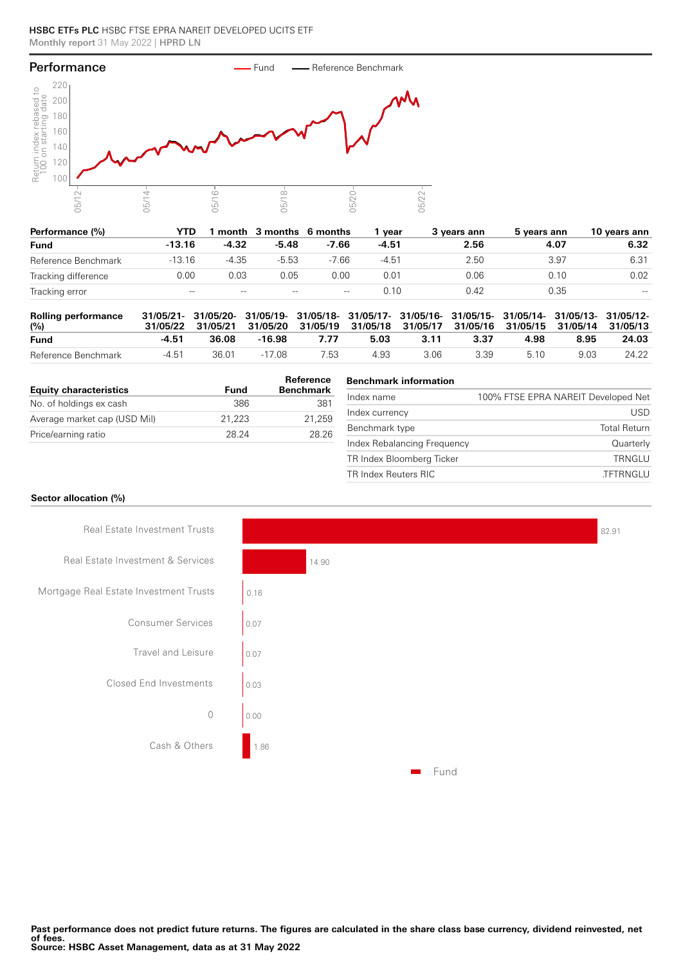#### HSBC ETFs PLC HSBC FTSE EPRA NAREIT DEVELOPED UCITS ETF Monthly report 31 May 2022 | HPRD LN



| Performance (%)     | YTD      |         | month 3 months 6 months |         | vear    | 3 vears ann | 5 years ann | 10 vears ann                          |
|---------------------|----------|---------|-------------------------|---------|---------|-------------|-------------|---------------------------------------|
| <b>Fund</b>         | $-13.16$ | $-4.32$ | $-5.48$                 | $-7.66$ | $-4.51$ | 2.56        | 4.07        | 6.32                                  |
| Reference Benchmark | $-13.16$ | $-4.35$ | $-5.53$                 | $-7.66$ | $-4.51$ | 2.50        | 3.97        | 6.31                                  |
| Tracking difference | 0.00     | 0.03    | 0.05                    | 0.00    | 0.01    | 0.06        | 0.10        | 0.02                                  |
| Tracking error      | $- -$    | $- -$   | $- -$                   | $-\, -$ | 0.10    | 0.42        | 0.35        | $\hspace{0.05cm}$ – $\hspace{0.05cm}$ |

| <b>Rolling performance</b><br>(%) |         |       | 31/05/21- 31/05/20- 31/05/19- 31/05/18- 31/05/17- 31/05/16- 31/05/15- 31/05/14- 31/05/13- 31/05/12-<br>31/05/22 31/05/21 31/05/20 31/05/19 31/05/18 31/05/17 31/05/16 31/05/15 31/05/14 31/05/13 |      |      |       |      |      |      |       |
|-----------------------------------|---------|-------|--------------------------------------------------------------------------------------------------------------------------------------------------------------------------------------------------|------|------|-------|------|------|------|-------|
| <b>Fund</b>                       | -4.51   | 36.08 | -16.98                                                                                                                                                                                           | 7.77 | 5.03 | -3.11 | 3.37 | 4.98 | 8.95 | 24.03 |
| Reference Benchmark               | $-4.51$ | 36.01 | $-17.08$                                                                                                                                                                                         | 7.53 | 4.93 | 3.06  | 3.39 | 510  | 9.03 | 24.22 |

| <b>Equity characteristics</b> | Fund   | Reference<br><b>Benchmark</b> |
|-------------------------------|--------|-------------------------------|
| No. of holdings ex cash       | 386    | 381                           |
| Average market cap (USD Mil)  | 21.223 | 21.259                        |
| Price/earning ratio           | 28.24  | 28.26                         |

#### **Benchmark information**

| Index name                  | 100% FTSE EPRA NAREIT Developed Net |
|-----------------------------|-------------------------------------|
| Index currency              | USD.                                |
| Benchmark type              | <b>Total Return</b>                 |
| Index Rebalancing Frequency | Quarterly                           |
| TR Index Bloomberg Ticker   | TRNGLU                              |
| TR Index Reuters RIC        | TFTRNGLU                            |

82.91

#### **Sector allocation (%)**



**Past performance does not predict future returns. The figures are calculated in the share class base currency, dividend reinvested, net of fees. Source: HSBC Asset Management, data as at 31 May 2022**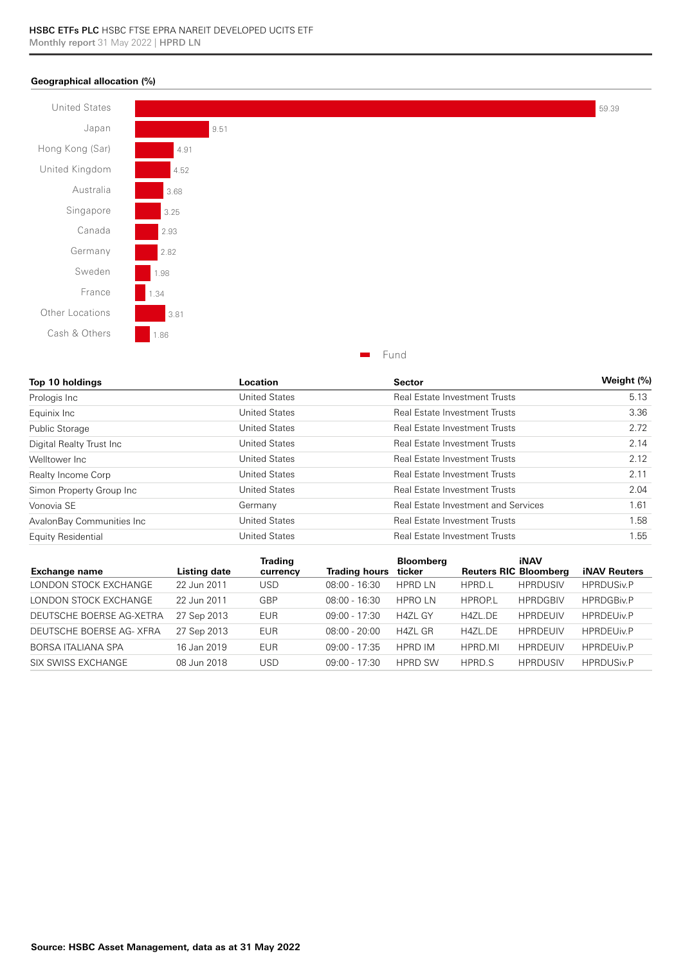#### **Geographical allocation (%)**



| Top 10 holdings           | Location             | <b>Sector</b>                        | Weight (%) |  |
|---------------------------|----------------------|--------------------------------------|------------|--|
| Prologis Inc              | <b>United States</b> | <b>Real Estate Investment Trusts</b> | 5.13       |  |
| Equinix Inc               | <b>United States</b> | <b>Real Estate Investment Trusts</b> | 3.36       |  |
| <b>Public Storage</b>     | <b>United States</b> | <b>Real Estate Investment Trusts</b> | 2.72       |  |
| Digital Realty Trust Inc  | <b>United States</b> | <b>Real Estate Investment Trusts</b> | 2.14       |  |
| Welltower Inc.            | <b>United States</b> | <b>Real Estate Investment Trusts</b> | 2.12       |  |
| Realty Income Corp        | <b>United States</b> | <b>Real Estate Investment Trusts</b> | 2.11       |  |
| Simon Property Group Inc  | <b>United States</b> | <b>Real Estate Investment Trusts</b> | 2.04       |  |
| Vonovia SE                | Germany              | Real Estate Investment and Services  | 1.61       |  |
| AvalonBay Communities Inc | <b>United States</b> | Real Estate Investment Trusts        | 1.58       |  |
| Equity Residential        | <b>United States</b> | <b>Real Estate Investment Trusts</b> | 1.55       |  |

| <b>Exchange name</b>     | Listing date | Trading<br>currency | <b>Trading hours</b> | <b>Bloomberg</b><br>ticker | <b>Reuters RIC Bloomberg</b> | iNAV            | <b>iNAV Reuters</b> |
|--------------------------|--------------|---------------------|----------------------|----------------------------|------------------------------|-----------------|---------------------|
| LONDON STOCK EXCHANGE    | 22 Jun 2011  | USD                 | $08:00 - 16:30$      | <b>HPRD LN</b>             | HPRD.L                       | <b>HPRDUSIV</b> | <b>HPRDUSiv.P</b>   |
| LONDON STOCK EXCHANGE    | 22 Jun 2011  | GBP                 | $08:00 - 16:30$      | <b>HPROLN</b>              | <b>HPROPL</b>                | <b>HPRDGBIV</b> | <b>HPRDGBiv.P</b>   |
| DEUTSCHE BOERSE AG-XETRA | 27 Sep 2013  | EUR.                | $09:00 - 17:30$      | <b>H4ZL GY</b>             | <b>H47L DE</b>               | <b>HPRDEUIV</b> | <b>HPRDEUIv.P</b>   |
| DEUTSCHE BOERSE AG- XFRA | 27 Sep 2013  | <b>EUR</b>          | $08:00 - 20:00$      | H4ZL GR                    | H4ZL.DE                      | <b>HPRDEUIV</b> | <b>HPRDEUIv.P</b>   |
| BORSA ITALIANA SPA       | 16 Jan 2019  | <b>EUR</b>          | $09:00 - 17:35$      | <b>HPRD IM</b>             | HPRD.MI                      | <b>HPRDEUIV</b> | <b>HPRDEUIv.P</b>   |
| SIX SWISS EXCHANGE       | 08 Jun 2018  | USD                 | $09:00 - 17:30$      | <b>HPRD SW</b>             | HPRD.S                       | <b>HPRDUSIV</b> | <b>HPRDUSiv.P</b>   |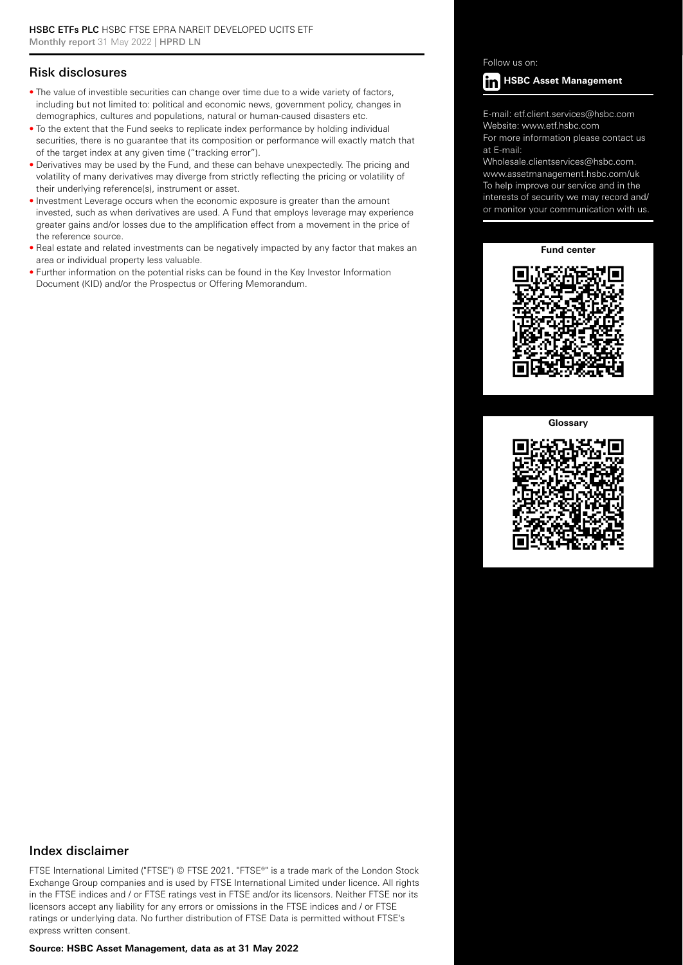### Risk disclosures

- The value of investible securities can change over time due to a wide variety of factors, including but not limited to: political and economic news, government policy, changes in demographics, cultures and populations, natural or human-caused disasters etc.
- To the extent that the Fund seeks to replicate index performance by holding individual securities, there is no guarantee that its composition or performance will exactly match that of the target index at any given time ("tracking error").
- Derivatives may be used by the Fund, and these can behave unexpectedly. The pricing and volatility of many derivatives may diverge from strictly reflecting the pricing or volatility of their underlying reference(s), instrument or asset.
- Investment Leverage occurs when the economic exposure is greater than the amount invested, such as when derivatives are used. A Fund that employs leverage may experience greater gains and/or losses due to the amplification effect from a movement in the price of the reference source.
- Real estate and related investments can be negatively impacted by any factor that makes an area or individual property less valuable.
- Further information on the potential risks can be found in the Key Investor Information Document (KID) and/or the Prospectus or Offering Memorandum.

#### Follow us on:



E-mail: etf.client.services@hsbc.com Website: www.etf.hsbc.com

For more information please contact us at E-mail:

Wholesale.clientservices@hsbc.com. www.assetmanagement.hsbc.com/uk To help improve our service and in the interests of security we may record and/ or monitor your communication with us.

#### **Fund center**



#### **Glossary**



#### Index disclaimer

FTSE International Limited ("FTSE") © FTSE 2021. "FTSE®" is a trade mark of the London Stock Exchange Group companies and is used by FTSE International Limited under licence. All rights in the FTSE indices and / or FTSE ratings vest in FTSE and/or its licensors. Neither FTSE nor its licensors accept any liability for any errors or omissions in the FTSE indices and / or FTSE ratings or underlying data. No further distribution of FTSE Data is permitted without FTSE's express written consent.